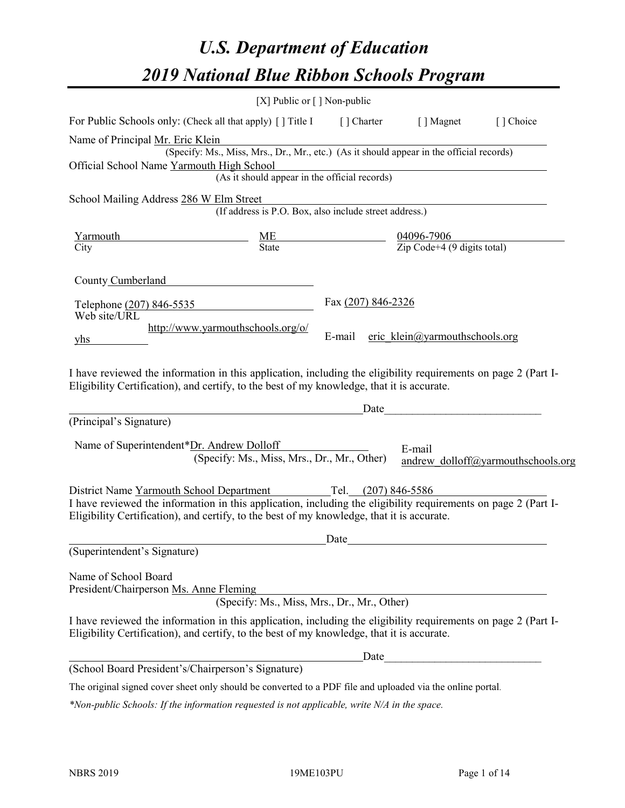# *U.S. Department of Education 2019 National Blue Ribbon Schools Program*

|                                                                                                                                                                                                              | [X] Public or $\lceil$ ] Non-public                    |                                                         |                                    |
|--------------------------------------------------------------------------------------------------------------------------------------------------------------------------------------------------------------|--------------------------------------------------------|---------------------------------------------------------|------------------------------------|
| For Public Schools only: (Check all that apply) [] Title I                                                                                                                                                   | [ ] Charter                                            | [ ] Magnet                                              | [] Choice                          |
| Name of Principal Mr. Eric Klein                                                                                                                                                                             |                                                        |                                                         |                                    |
| (Specify: Ms., Miss, Mrs., Dr., Mr., etc.) (As it should appear in the official records)                                                                                                                     |                                                        |                                                         |                                    |
| Official School Name Yarmouth High School                                                                                                                                                                    | (As it should appear in the official records)          |                                                         |                                    |
|                                                                                                                                                                                                              |                                                        |                                                         |                                    |
| School Mailing Address 286 W Elm Street                                                                                                                                                                      | (If address is P.O. Box, also include street address.) |                                                         |                                    |
| Yarmouth                                                                                                                                                                                                     |                                                        |                                                         |                                    |
| $rac{\text{ME}}{\text{State}}$<br>City                                                                                                                                                                       |                                                        | $\frac{04096-7906}{\text{Zip Code}+4 (9 digits total)}$ |                                    |
| County Cumberland                                                                                                                                                                                            |                                                        |                                                         |                                    |
| Telephone (207) 846-5535                                                                                                                                                                                     | Fax (207) 846-2326                                     |                                                         |                                    |
| Web site/URL<br>http://www.yarmouthschools.org/o/                                                                                                                                                            |                                                        |                                                         |                                    |
| yhs                                                                                                                                                                                                          | E-mail                                                 | eric klein@yarmouthschools.org                          |                                    |
| Eligibility Certification), and certify, to the best of my knowledge, that it is accurate.<br>(Principal's Signature)<br>Name of Superintendent*Dr. Andrew Dolloff                                           | Date                                                   |                                                         |                                    |
| (Specify: Ms., Miss, Mrs., Dr., Mr., Other)                                                                                                                                                                  |                                                        | E-mail                                                  | andrew dolloff@yarmouthschools.org |
| District Name Yarmouth School Department Tel. (207) 846-5586                                                                                                                                                 |                                                        |                                                         |                                    |
| I have reviewed the information in this application, including the eligibility requirements on page 2 (Part I-<br>Eligibility Certification), and certify, to the best of my knowledge, that it is accurate. |                                                        |                                                         |                                    |
|                                                                                                                                                                                                              | Date                                                   |                                                         |                                    |
| (Superintendent's Signature)                                                                                                                                                                                 |                                                        |                                                         |                                    |
| Name of School Board<br>President/Chairperson Ms. Anne Fleming                                                                                                                                               | (Specify: Ms., Miss, Mrs., Dr., Mr., Other)            |                                                         |                                    |
| I have reviewed the information in this application, including the eligibility requirements on page 2 (Part I-<br>Eligibility Certification), and certify, to the best of my knowledge, that it is accurate. |                                                        |                                                         |                                    |
|                                                                                                                                                                                                              | Date                                                   |                                                         |                                    |
| (School Board President's/Chairperson's Signature)                                                                                                                                                           |                                                        |                                                         |                                    |
| The original signed cover sheet only should be converted to a PDF file and uploaded via the online portal.                                                                                                   |                                                        |                                                         |                                    |

*\*Non-public Schools: If the information requested is not applicable, write N/A in the space.*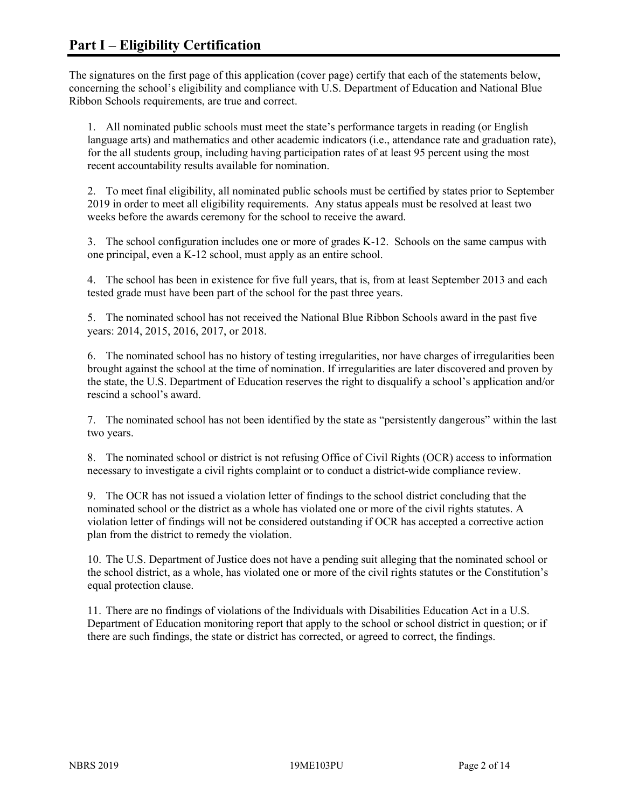The signatures on the first page of this application (cover page) certify that each of the statements below, concerning the school's eligibility and compliance with U.S. Department of Education and National Blue Ribbon Schools requirements, are true and correct.

1. All nominated public schools must meet the state's performance targets in reading (or English language arts) and mathematics and other academic indicators (i.e., attendance rate and graduation rate), for the all students group, including having participation rates of at least 95 percent using the most recent accountability results available for nomination.

2. To meet final eligibility, all nominated public schools must be certified by states prior to September 2019 in order to meet all eligibility requirements. Any status appeals must be resolved at least two weeks before the awards ceremony for the school to receive the award.

3. The school configuration includes one or more of grades K-12. Schools on the same campus with one principal, even a K-12 school, must apply as an entire school.

4. The school has been in existence for five full years, that is, from at least September 2013 and each tested grade must have been part of the school for the past three years.

5. The nominated school has not received the National Blue Ribbon Schools award in the past five years: 2014, 2015, 2016, 2017, or 2018.

6. The nominated school has no history of testing irregularities, nor have charges of irregularities been brought against the school at the time of nomination. If irregularities are later discovered and proven by the state, the U.S. Department of Education reserves the right to disqualify a school's application and/or rescind a school's award.

7. The nominated school has not been identified by the state as "persistently dangerous" within the last two years.

8. The nominated school or district is not refusing Office of Civil Rights (OCR) access to information necessary to investigate a civil rights complaint or to conduct a district-wide compliance review.

9. The OCR has not issued a violation letter of findings to the school district concluding that the nominated school or the district as a whole has violated one or more of the civil rights statutes. A violation letter of findings will not be considered outstanding if OCR has accepted a corrective action plan from the district to remedy the violation.

10. The U.S. Department of Justice does not have a pending suit alleging that the nominated school or the school district, as a whole, has violated one or more of the civil rights statutes or the Constitution's equal protection clause.

11. There are no findings of violations of the Individuals with Disabilities Education Act in a U.S. Department of Education monitoring report that apply to the school or school district in question; or if there are such findings, the state or district has corrected, or agreed to correct, the findings.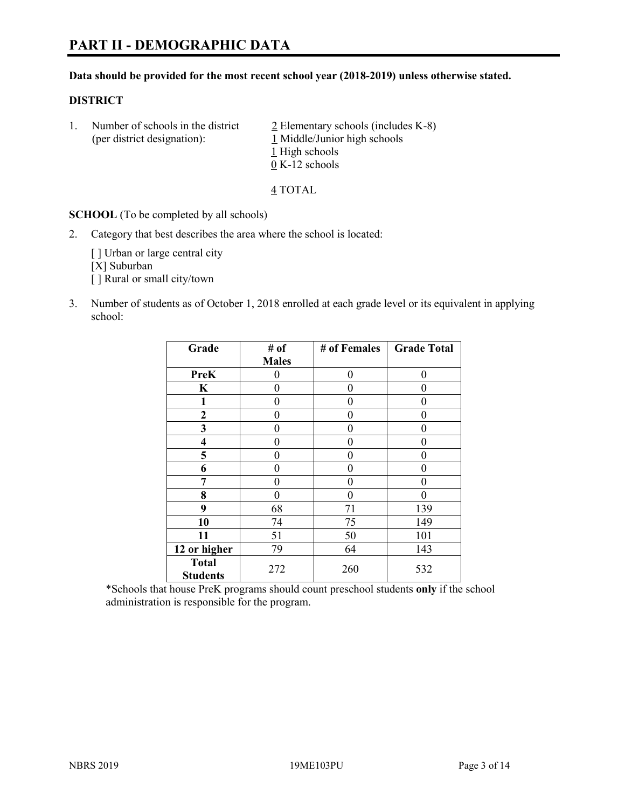#### **Data should be provided for the most recent school year (2018-2019) unless otherwise stated.**

#### **DISTRICT**

1. Number of schools in the district  $\frac{2}{2}$  Elementary schools (includes K-8) (per district designation): 1 Middle/Junior high schools 1 High schools 0 K-12 schools

4 TOTAL

**SCHOOL** (To be completed by all schools)

2. Category that best describes the area where the school is located:

[ ] Urban or large central city [X] Suburban [] Rural or small city/town

3. Number of students as of October 1, 2018 enrolled at each grade level or its equivalent in applying school:

| Grade                           | # of         | # of Females   | <b>Grade Total</b> |
|---------------------------------|--------------|----------------|--------------------|
|                                 | <b>Males</b> |                |                    |
| <b>PreK</b>                     | 0            | $\overline{0}$ | 0                  |
| K                               | 0            | 0              |                    |
| 1                               | 0            | $\theta$       | 0                  |
| $\mathbf{2}$                    | 0            | 0              | 0                  |
| 3                               | 0            | 0              | 0                  |
| 4                               | 0            | $\theta$       | 0                  |
| 5                               | 0            | $\theta$       | 0                  |
| 6                               | 0            | $\theta$       | 0                  |
| 7                               | 0            | $\theta$       | 0                  |
| 8                               | 0            | $\theta$       |                    |
| 9                               | 68           | 71             | 139                |
| 10                              | 74           | 75             | 149                |
| 11                              | 51           | 50             | 101                |
| 12 or higher                    | 79           | 64             | 143                |
| <b>Total</b><br><b>Students</b> | 272          | 260            | 532                |

\*Schools that house PreK programs should count preschool students **only** if the school administration is responsible for the program.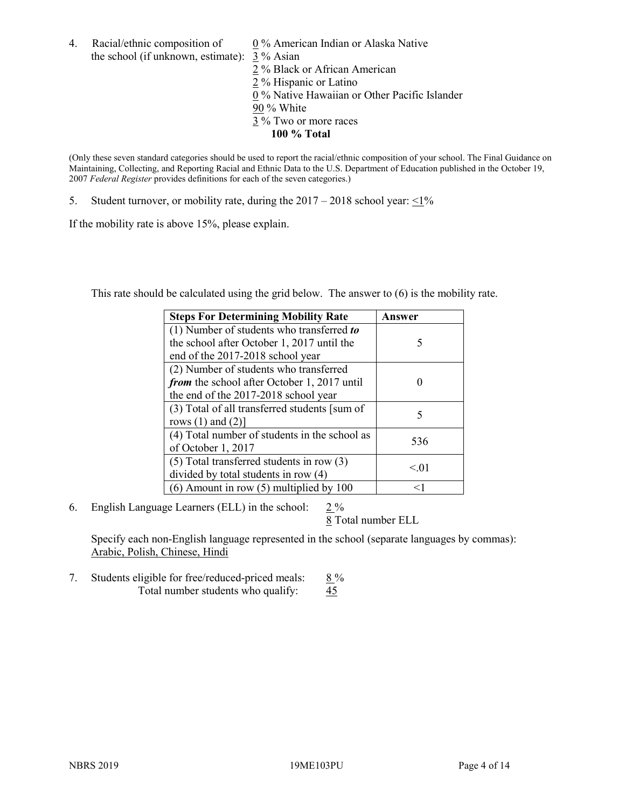4. Racial/ethnic composition of  $0\%$  American Indian or Alaska Native the school (if unknown, estimate): 3 % Asian

2 % Black or African American 2 % Hispanic or Latino 0 % Native Hawaiian or Other Pacific Islander 90 % White 3 % Two or more races **100 % Total**

(Only these seven standard categories should be used to report the racial/ethnic composition of your school. The Final Guidance on Maintaining, Collecting, and Reporting Racial and Ethnic Data to the U.S. Department of Education published in the October 19, 2007 *Federal Register* provides definitions for each of the seven categories.)

5. Student turnover, or mobility rate, during the  $2017 - 2018$  school year:  $\leq 1\%$ 

If the mobility rate is above 15%, please explain.

This rate should be calculated using the grid below. The answer to (6) is the mobility rate.

| <b>Steps For Determining Mobility Rate</b>    | Answer |
|-----------------------------------------------|--------|
| (1) Number of students who transferred to     |        |
| the school after October 1, 2017 until the    | 5      |
| end of the 2017-2018 school year              |        |
| (2) Number of students who transferred        |        |
| from the school after October 1, 2017 until   |        |
| the end of the 2017-2018 school year          |        |
| (3) Total of all transferred students [sum of | 5      |
| rows $(1)$ and $(2)$ ]                        |        |
| (4) Total number of students in the school as | 536    |
| of October 1, 2017                            |        |
| $(5)$ Total transferred students in row $(3)$ | < 0.01 |
| divided by total students in row (4)          |        |
| $(6)$ Amount in row $(5)$ multiplied by 100   | <1     |

6. English Language Learners (ELL) in the school:  $2\%$ 

8 Total number ELL

Specify each non-English language represented in the school (separate languages by commas): Arabic, Polish, Chinese, Hindi

7. Students eligible for free/reduced-priced meals:  $8\%$ Total number students who qualify:  $\frac{45}{5}$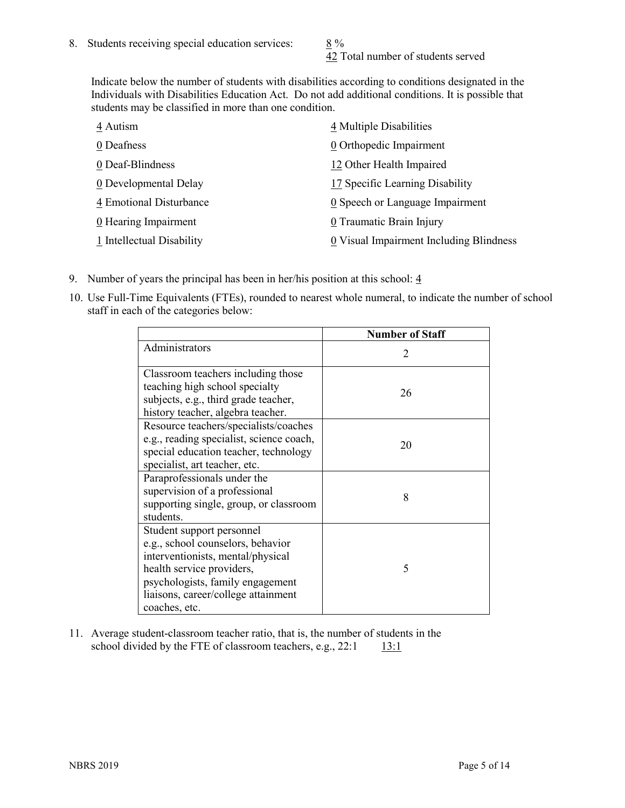42 Total number of students served

Indicate below the number of students with disabilities according to conditions designated in the Individuals with Disabilities Education Act. Do not add additional conditions. It is possible that students may be classified in more than one condition.

| 4 Autism                  | 4 Multiple Disabilities                       |
|---------------------------|-----------------------------------------------|
| 0 Deafness                | 0 Orthopedic Impairment                       |
| 0 Deaf-Blindness          | 12 Other Health Impaired                      |
| 0 Developmental Delay     | 17 Specific Learning Disability               |
| 4 Emotional Disturbance   | $\underline{0}$ Speech or Language Impairment |
| 0 Hearing Impairment      | 0 Traumatic Brain Injury                      |
| 1 Intellectual Disability | 0 Visual Impairment Including Blindness       |

- 9. Number of years the principal has been in her/his position at this school:  $\frac{4}{3}$
- 10. Use Full-Time Equivalents (FTEs), rounded to nearest whole numeral, to indicate the number of school staff in each of the categories below:

|                                                                                                                                                                                                                              | <b>Number of Staff</b>      |
|------------------------------------------------------------------------------------------------------------------------------------------------------------------------------------------------------------------------------|-----------------------------|
| Administrators                                                                                                                                                                                                               | $\mathcal{D}_{\mathcal{A}}$ |
| Classroom teachers including those<br>teaching high school specialty<br>subjects, e.g., third grade teacher,<br>history teacher, algebra teacher.                                                                            | 26                          |
| Resource teachers/specialists/coaches<br>e.g., reading specialist, science coach,<br>special education teacher, technology<br>specialist, art teacher, etc.                                                                  | 20                          |
| Paraprofessionals under the<br>supervision of a professional<br>supporting single, group, or classroom<br>students.                                                                                                          | 8                           |
| Student support personnel<br>e.g., school counselors, behavior<br>interventionists, mental/physical<br>health service providers,<br>psychologists, family engagement<br>liaisons, career/college attainment<br>coaches, etc. | 5                           |

11. Average student-classroom teacher ratio, that is, the number of students in the school divided by the FTE of classroom teachers, e.g.,  $22:1$  13:1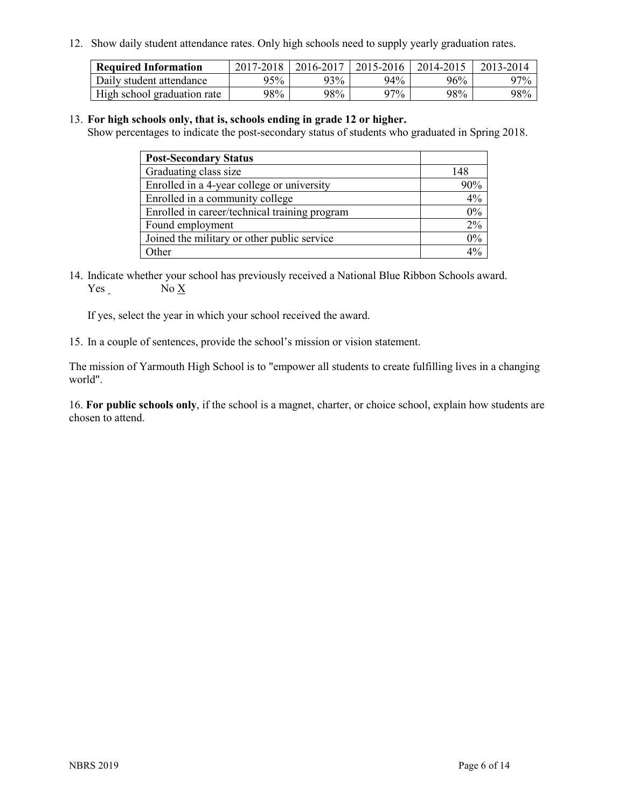12. Show daily student attendance rates. Only high schools need to supply yearly graduation rates.

| <b>Required Information</b> | 2017-2018 | 2016-2017 | 2015-2016 | 2014-2015 | 2013-2014 |
|-----------------------------|-----------|-----------|-----------|-----------|-----------|
| Daily student attendance    | 95%       | 93%       | 94%       | 96%       | 97%       |
| High school graduation rate | 98%       | 98%       | 97%       | 98%       | 98%       |

#### 13. **For high schools only, that is, schools ending in grade 12 or higher.**

Show percentages to indicate the post-secondary status of students who graduated in Spring 2018.

| <b>Post-Secondary Status</b>                  |     |
|-----------------------------------------------|-----|
| Graduating class size                         | 148 |
| Enrolled in a 4-year college or university    | 90% |
| Enrolled in a community college               | 4%  |
| Enrolled in career/technical training program | 0%  |
| Found employment                              | 2%  |
| Joined the military or other public service   | 0%  |
| Other                                         |     |

14. Indicate whether your school has previously received a National Blue Ribbon Schools award. Yes No X

If yes, select the year in which your school received the award.

15. In a couple of sentences, provide the school's mission or vision statement.

The mission of Yarmouth High School is to "empower all students to create fulfilling lives in a changing world".

16. **For public schools only**, if the school is a magnet, charter, or choice school, explain how students are chosen to attend.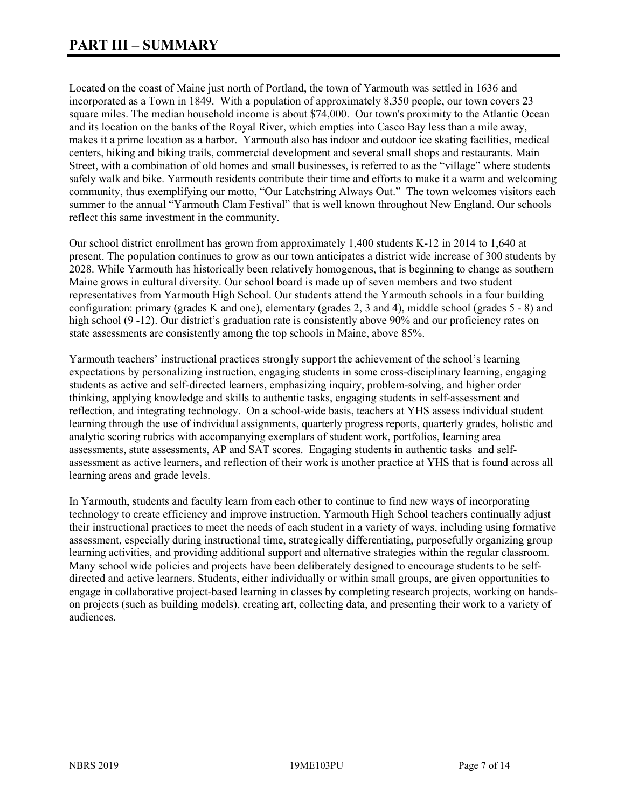Located on the coast of Maine just north of Portland, the town of Yarmouth was settled in 1636 and incorporated as a Town in 1849. With a population of approximately 8,350 people, our town covers 23 square miles. The median household income is about \$74,000. Our town's proximity to the Atlantic Ocean and its location on the banks of the Royal River, which empties into Casco Bay less than a mile away, makes it a prime location as a harbor. Yarmouth also has indoor and outdoor ice skating facilities, medical centers, hiking and biking trails, commercial development and several small shops and restaurants. Main Street, with a combination of old homes and small businesses, is referred to as the "village" where students safely walk and bike. Yarmouth residents contribute their time and efforts to make it a warm and welcoming community, thus exemplifying our motto, "Our Latchstring Always Out." The town welcomes visitors each summer to the annual "Yarmouth Clam Festival" that is well known throughout New England. Our schools reflect this same investment in the community.

Our school district enrollment has grown from approximately 1,400 students K-12 in 2014 to 1,640 at present. The population continues to grow as our town anticipates a district wide increase of 300 students by 2028. While Yarmouth has historically been relatively homogenous, that is beginning to change as southern Maine grows in cultural diversity. Our school board is made up of seven members and two student representatives from Yarmouth High School. Our students attend the Yarmouth schools in a four building configuration: primary (grades K and one), elementary (grades 2, 3 and 4), middle school (grades 5 - 8) and high school (9 -12). Our district's graduation rate is consistently above 90% and our proficiency rates on state assessments are consistently among the top schools in Maine, above 85%.

Yarmouth teachers' instructional practices strongly support the achievement of the school's learning expectations by personalizing instruction, engaging students in some cross-disciplinary learning, engaging students as active and self-directed learners, emphasizing inquiry, problem-solving, and higher order thinking, applying knowledge and skills to authentic tasks, engaging students in self-assessment and reflection, and integrating technology. On a school-wide basis, teachers at YHS assess individual student learning through the use of individual assignments, quarterly progress reports, quarterly grades, holistic and analytic scoring rubrics with accompanying exemplars of student work, portfolios, learning area assessments, state assessments, AP and SAT scores. Engaging students in authentic tasks and selfassessment as active learners, and reflection of their work is another practice at YHS that is found across all learning areas and grade levels.

In Yarmouth, students and faculty learn from each other to continue to find new ways of incorporating technology to create efficiency and improve instruction. Yarmouth High School teachers continually adjust their instructional practices to meet the needs of each student in a variety of ways, including using formative assessment, especially during instructional time, strategically differentiating, purposefully organizing group learning activities, and providing additional support and alternative strategies within the regular classroom. Many school wide policies and projects have been deliberately designed to encourage students to be selfdirected and active learners. Students, either individually or within small groups, are given opportunities to engage in collaborative project-based learning in classes by completing research projects, working on handson projects (such as building models), creating art, collecting data, and presenting their work to a variety of audiences.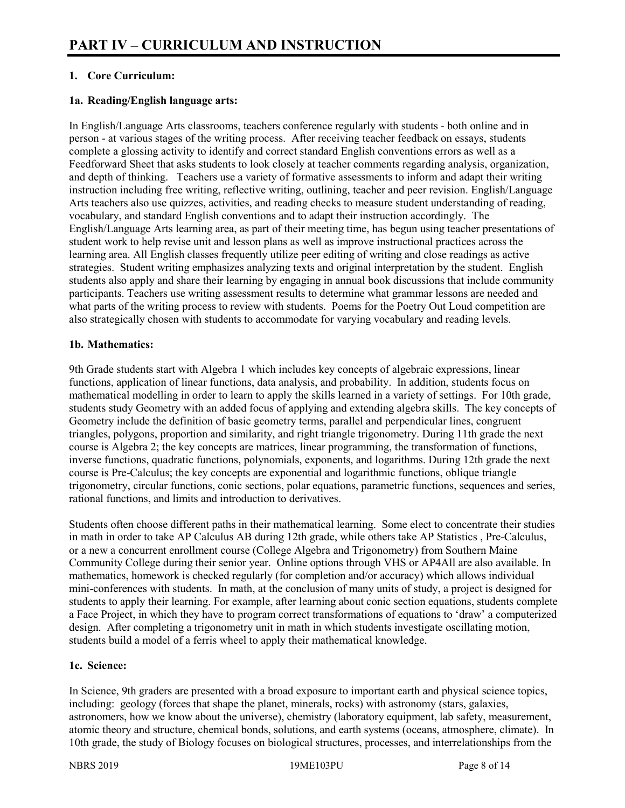# **1. Core Curriculum:**

### **1a. Reading/English language arts:**

In English/Language Arts classrooms, teachers conference regularly with students - both online and in person - at various stages of the writing process. After receiving teacher feedback on essays, students complete a glossing activity to identify and correct standard English conventions errors as well as a Feedforward Sheet that asks students to look closely at teacher comments regarding analysis, organization, and depth of thinking. Teachers use a variety of formative assessments to inform and adapt their writing instruction including free writing, reflective writing, outlining, teacher and peer revision. English/Language Arts teachers also use quizzes, activities, and reading checks to measure student understanding of reading, vocabulary, and standard English conventions and to adapt their instruction accordingly. The English/Language Arts learning area, as part of their meeting time, has begun using teacher presentations of student work to help revise unit and lesson plans as well as improve instructional practices across the learning area. All English classes frequently utilize peer editing of writing and close readings as active strategies. Student writing emphasizes analyzing texts and original interpretation by the student. English students also apply and share their learning by engaging in annual book discussions that include community participants. Teachers use writing assessment results to determine what grammar lessons are needed and what parts of the writing process to review with students. Poems for the Poetry Out Loud competition are also strategically chosen with students to accommodate for varying vocabulary and reading levels.

### **1b. Mathematics:**

9th Grade students start with Algebra 1 which includes key concepts of algebraic expressions, linear functions, application of linear functions, data analysis, and probability. In addition, students focus on mathematical modelling in order to learn to apply the skills learned in a variety of settings. For 10th grade, students study Geometry with an added focus of applying and extending algebra skills. The key concepts of Geometry include the definition of basic geometry terms, parallel and perpendicular lines, congruent triangles, polygons, proportion and similarity, and right triangle trigonometry. During 11th grade the next course is Algebra 2; the key concepts are matrices, linear programming, the transformation of functions, inverse functions, quadratic functions, polynomials, exponents, and logarithms. During 12th grade the next course is Pre-Calculus; the key concepts are exponential and logarithmic functions, oblique triangle trigonometry, circular functions, conic sections, polar equations, parametric functions, sequences and series, rational functions, and limits and introduction to derivatives.

Students often choose different paths in their mathematical learning. Some elect to concentrate their studies in math in order to take AP Calculus AB during 12th grade, while others take AP Statistics , Pre-Calculus, or a new a concurrent enrollment course (College Algebra and Trigonometry) from Southern Maine Community College during their senior year. Online options through VHS or AP4All are also available. In mathematics, homework is checked regularly (for completion and/or accuracy) which allows individual mini-conferences with students. In math, at the conclusion of many units of study, a project is designed for students to apply their learning. For example, after learning about conic section equations, students complete a Face Project, in which they have to program correct transformations of equations to 'draw' a computerized design. After completing a trigonometry unit in math in which students investigate oscillating motion, students build a model of a ferris wheel to apply their mathematical knowledge.

#### **1c. Science:**

In Science, 9th graders are presented with a broad exposure to important earth and physical science topics, including: geology (forces that shape the planet, minerals, rocks) with astronomy (stars, galaxies, astronomers, how we know about the universe), chemistry (laboratory equipment, lab safety, measurement, atomic theory and structure, chemical bonds, solutions, and earth systems (oceans, atmosphere, climate). In 10th grade, the study of Biology focuses on biological structures, processes, and interrelationships from the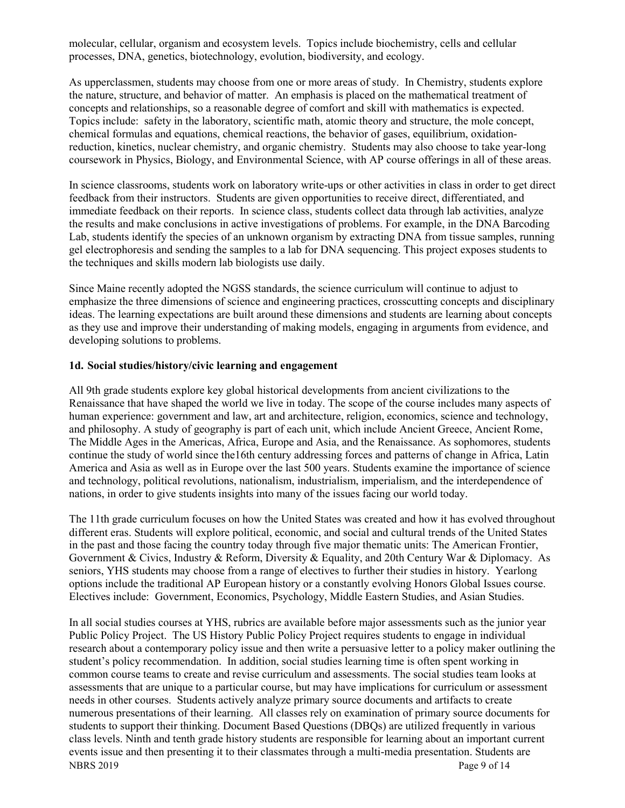molecular, cellular, organism and ecosystem levels. Topics include biochemistry, cells and cellular processes, DNA, genetics, biotechnology, evolution, biodiversity, and ecology.

As upperclassmen, students may choose from one or more areas of study. In Chemistry, students explore the nature, structure, and behavior of matter. An emphasis is placed on the mathematical treatment of concepts and relationships, so a reasonable degree of comfort and skill with mathematics is expected. Topics include: safety in the laboratory, scientific math, atomic theory and structure, the mole concept, chemical formulas and equations, chemical reactions, the behavior of gases, equilibrium, oxidationreduction, kinetics, nuclear chemistry, and organic chemistry. Students may also choose to take year-long coursework in Physics, Biology, and Environmental Science, with AP course offerings in all of these areas.

In science classrooms, students work on laboratory write-ups or other activities in class in order to get direct feedback from their instructors. Students are given opportunities to receive direct, differentiated, and immediate feedback on their reports. In science class, students collect data through lab activities, analyze the results and make conclusions in active investigations of problems. For example, in the DNA Barcoding Lab, students identify the species of an unknown organism by extracting DNA from tissue samples, running gel electrophoresis and sending the samples to a lab for DNA sequencing. This project exposes students to the techniques and skills modern lab biologists use daily.

Since Maine recently adopted the NGSS standards, the science curriculum will continue to adjust to emphasize the three dimensions of science and engineering practices, crosscutting concepts and disciplinary ideas. The learning expectations are built around these dimensions and students are learning about concepts as they use and improve their understanding of making models, engaging in arguments from evidence, and developing solutions to problems.

#### **1d. Social studies/history/civic learning and engagement**

All 9th grade students explore key global historical developments from ancient civilizations to the Renaissance that have shaped the world we live in today. The scope of the course includes many aspects of human experience: government and law, art and architecture, religion, economics, science and technology, and philosophy. A study of geography is part of each unit, which include Ancient Greece, Ancient Rome, The Middle Ages in the Americas, Africa, Europe and Asia, and the Renaissance. As sophomores, students continue the study of world since the16th century addressing forces and patterns of change in Africa, Latin America and Asia as well as in Europe over the last 500 years. Students examine the importance of science and technology, political revolutions, nationalism, industrialism, imperialism, and the interdependence of nations, in order to give students insights into many of the issues facing our world today.

The 11th grade curriculum focuses on how the United States was created and how it has evolved throughout different eras. Students will explore political, economic, and social and cultural trends of the United States in the past and those facing the country today through five major thematic units: The American Frontier, Government & Civics, Industry & Reform, Diversity & Equality, and 20th Century War & Diplomacy. As seniors, YHS students may choose from a range of electives to further their studies in history. Yearlong options include the traditional AP European history or a constantly evolving Honors Global Issues course. Electives include: Government, Economics, Psychology, Middle Eastern Studies, and Asian Studies.

NBRS 2019 Page 9 of 14 In all social studies courses at YHS, rubrics are available before major assessments such as the junior year Public Policy Project. The US History Public Policy Project requires students to engage in individual research about a contemporary policy issue and then write a persuasive letter to a policy maker outlining the student's policy recommendation. In addition, social studies learning time is often spent working in common course teams to create and revise curriculum and assessments. The social studies team looks at assessments that are unique to a particular course, but may have implications for curriculum or assessment needs in other courses. Students actively analyze primary source documents and artifacts to create numerous presentations of their learning. All classes rely on examination of primary source documents for students to support their thinking. Document Based Questions (DBQs) are utilized frequently in various class levels. Ninth and tenth grade history students are responsible for learning about an important current events issue and then presenting it to their classmates through a multi-media presentation. Students are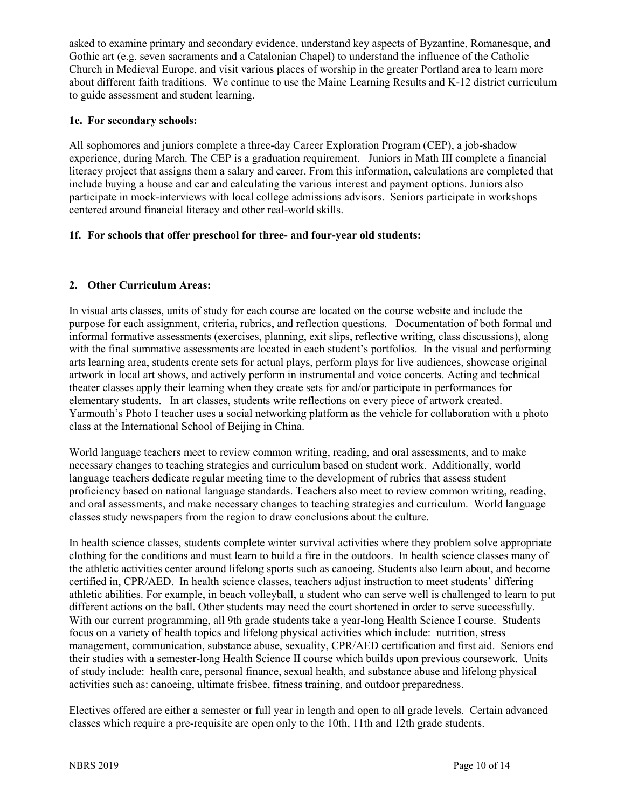asked to examine primary and secondary evidence, understand key aspects of Byzantine, Romanesque, and Gothic art (e.g. seven sacraments and a Catalonian Chapel) to understand the influence of the Catholic Church in Medieval Europe, and visit various places of worship in the greater Portland area to learn more about different faith traditions. We continue to use the Maine Learning Results and K-12 district curriculum to guide assessment and student learning.

# **1e. For secondary schools:**

All sophomores and juniors complete a three-day Career Exploration Program (CEP), a job-shadow experience, during March. The CEP is a graduation requirement. Juniors in Math III complete a financial literacy project that assigns them a salary and career. From this information, calculations are completed that include buying a house and car and calculating the various interest and payment options. Juniors also participate in mock-interviews with local college admissions advisors. Seniors participate in workshops centered around financial literacy and other real-world skills.

# **1f. For schools that offer preschool for three- and four-year old students:**

# **2. Other Curriculum Areas:**

In visual arts classes, units of study for each course are located on the course website and include the purpose for each assignment, criteria, rubrics, and reflection questions. Documentation of both formal and informal formative assessments (exercises, planning, exit slips, reflective writing, class discussions), along with the final summative assessments are located in each student's portfolios. In the visual and performing arts learning area, students create sets for actual plays, perform plays for live audiences, showcase original artwork in local art shows, and actively perform in instrumental and voice concerts. Acting and technical theater classes apply their learning when they create sets for and/or participate in performances for elementary students. In art classes, students write reflections on every piece of artwork created. Yarmouth's Photo I teacher uses a social networking platform as the vehicle for collaboration with a photo class at the International School of Beijing in China.

World language teachers meet to review common writing, reading, and oral assessments, and to make necessary changes to teaching strategies and curriculum based on student work. Additionally, world language teachers dedicate regular meeting time to the development of rubrics that assess student proficiency based on national language standards. Teachers also meet to review common writing, reading, and oral assessments, and make necessary changes to teaching strategies and curriculum. World language classes study newspapers from the region to draw conclusions about the culture.

In health science classes, students complete winter survival activities where they problem solve appropriate clothing for the conditions and must learn to build a fire in the outdoors. In health science classes many of the athletic activities center around lifelong sports such as canoeing. Students also learn about, and become certified in, CPR/AED. In health science classes, teachers adjust instruction to meet students' differing athletic abilities. For example, in beach volleyball, a student who can serve well is challenged to learn to put different actions on the ball. Other students may need the court shortened in order to serve successfully. With our current programming, all 9th grade students take a year-long Health Science I course. Students focus on a variety of health topics and lifelong physical activities which include: nutrition, stress management, communication, substance abuse, sexuality, CPR/AED certification and first aid. Seniors end their studies with a semester-long Health Science II course which builds upon previous coursework. Units of study include: health care, personal finance, sexual health, and substance abuse and lifelong physical activities such as: canoeing, ultimate frisbee, fitness training, and outdoor preparedness.

Electives offered are either a semester or full year in length and open to all grade levels. Certain advanced classes which require a pre-requisite are open only to the 10th, 11th and 12th grade students.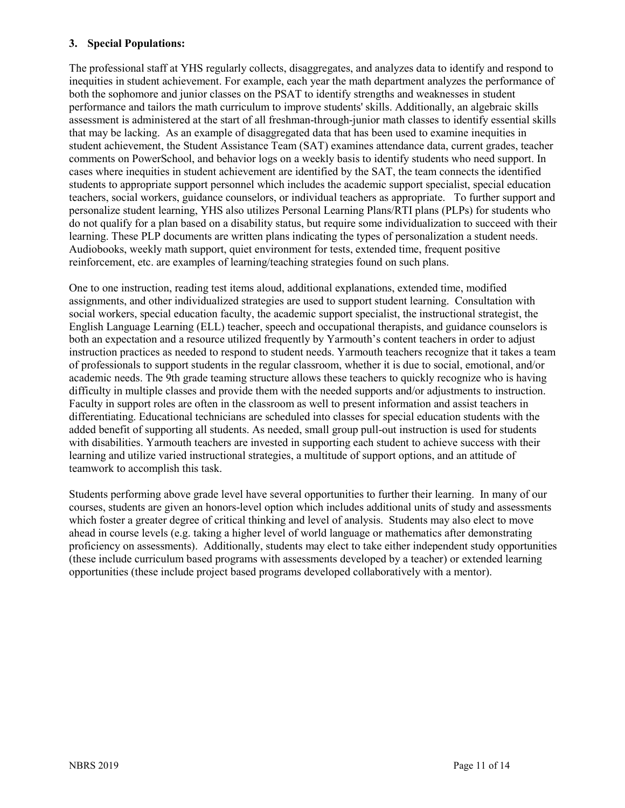#### **3. Special Populations:**

The professional staff at YHS regularly collects, disaggregates, and analyzes data to identify and respond to inequities in student achievement. For example, each year the math department analyzes the performance of both the sophomore and junior classes on the PSAT to identify strengths and weaknesses in student performance and tailors the math curriculum to improve students' skills. Additionally, an algebraic skills assessment is administered at the start of all freshman-through-junior math classes to identify essential skills that may be lacking. As an example of disaggregated data that has been used to examine inequities in student achievement, the Student Assistance Team (SAT) examines attendance data, current grades, teacher comments on PowerSchool, and behavior logs on a weekly basis to identify students who need support. In cases where inequities in student achievement are identified by the SAT, the team connects the identified students to appropriate support personnel which includes the academic support specialist, special education teachers, social workers, guidance counselors, or individual teachers as appropriate. To further support and personalize student learning, YHS also utilizes Personal Learning Plans/RTI plans (PLPs) for students who do not qualify for a plan based on a disability status, but require some individualization to succeed with their learning. These PLP documents are written plans indicating the types of personalization a student needs. Audiobooks, weekly math support, quiet environment for tests, extended time, frequent positive reinforcement, etc. are examples of learning/teaching strategies found on such plans.

One to one instruction, reading test items aloud, additional explanations, extended time, modified assignments, and other individualized strategies are used to support student learning. Consultation with social workers, special education faculty, the academic support specialist, the instructional strategist, the English Language Learning (ELL) teacher, speech and occupational therapists, and guidance counselors is both an expectation and a resource utilized frequently by Yarmouth's content teachers in order to adjust instruction practices as needed to respond to student needs. Yarmouth teachers recognize that it takes a team of professionals to support students in the regular classroom, whether it is due to social, emotional, and/or academic needs. The 9th grade teaming structure allows these teachers to quickly recognize who is having difficulty in multiple classes and provide them with the needed supports and/or adjustments to instruction. Faculty in support roles are often in the classroom as well to present information and assist teachers in differentiating. Educational technicians are scheduled into classes for special education students with the added benefit of supporting all students. As needed, small group pull-out instruction is used for students with disabilities. Yarmouth teachers are invested in supporting each student to achieve success with their learning and utilize varied instructional strategies, a multitude of support options, and an attitude of teamwork to accomplish this task.

Students performing above grade level have several opportunities to further their learning. In many of our courses, students are given an honors-level option which includes additional units of study and assessments which foster a greater degree of critical thinking and level of analysis. Students may also elect to move ahead in course levels (e.g. taking a higher level of world language or mathematics after demonstrating proficiency on assessments). Additionally, students may elect to take either independent study opportunities (these include curriculum based programs with assessments developed by a teacher) or extended learning opportunities (these include project based programs developed collaboratively with a mentor).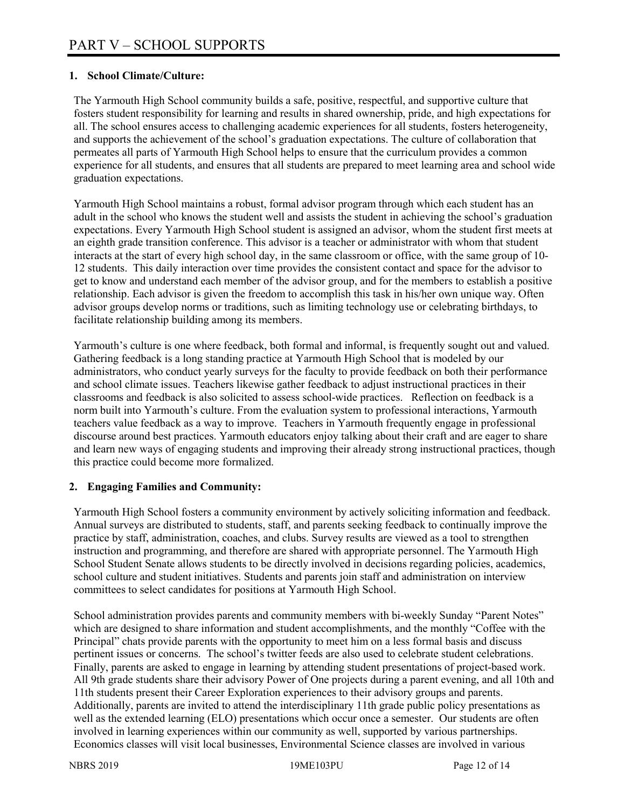# **1. School Climate/Culture:**

The Yarmouth High School community builds a safe, positive, respectful, and supportive culture that fosters student responsibility for learning and results in shared ownership, pride, and high expectations for all. The school ensures access to challenging academic experiences for all students, fosters heterogeneity, and supports the achievement of the school's graduation expectations. The culture of collaboration that permeates all parts of Yarmouth High School helps to ensure that the curriculum provides a common experience for all students, and ensures that all students are prepared to meet learning area and school wide graduation expectations.

Yarmouth High School maintains a robust, formal advisor program through which each student has an adult in the school who knows the student well and assists the student in achieving the school's graduation expectations. Every Yarmouth High School student is assigned an advisor, whom the student first meets at an eighth grade transition conference. This advisor is a teacher or administrator with whom that student interacts at the start of every high school day, in the same classroom or office, with the same group of 10- 12 students. This daily interaction over time provides the consistent contact and space for the advisor to get to know and understand each member of the advisor group, and for the members to establish a positive relationship. Each advisor is given the freedom to accomplish this task in his/her own unique way. Often advisor groups develop norms or traditions, such as limiting technology use or celebrating birthdays, to facilitate relationship building among its members.

Yarmouth's culture is one where feedback, both formal and informal, is frequently sought out and valued. Gathering feedback is a long standing practice at Yarmouth High School that is modeled by our administrators, who conduct yearly surveys for the faculty to provide feedback on both their performance and school climate issues. Teachers likewise gather feedback to adjust instructional practices in their classrooms and feedback is also solicited to assess school-wide practices. Reflection on feedback is a norm built into Yarmouth's culture. From the evaluation system to professional interactions, Yarmouth teachers value feedback as a way to improve. Teachers in Yarmouth frequently engage in professional discourse around best practices. Yarmouth educators enjoy talking about their craft and are eager to share and learn new ways of engaging students and improving their already strong instructional practices, though this practice could become more formalized.

#### **2. Engaging Families and Community:**

Yarmouth High School fosters a community environment by actively soliciting information and feedback. Annual surveys are distributed to students, staff, and parents seeking feedback to continually improve the practice by staff, administration, coaches, and clubs. Survey results are viewed as a tool to strengthen instruction and programming, and therefore are shared with appropriate personnel. The Yarmouth High School Student Senate allows students to be directly involved in decisions regarding policies, academics, school culture and student initiatives. Students and parents join staff and administration on interview committees to select candidates for positions at Yarmouth High School.

School administration provides parents and community members with bi-weekly Sunday "Parent Notes" which are designed to share information and student accomplishments, and the monthly "Coffee with the Principal" chats provide parents with the opportunity to meet him on a less formal basis and discuss pertinent issues or concerns. The school's twitter feeds are also used to celebrate student celebrations. Finally, parents are asked to engage in learning by attending student presentations of project-based work. All 9th grade students share their advisory Power of One projects during a parent evening, and all 10th and 11th students present their Career Exploration experiences to their advisory groups and parents. Additionally, parents are invited to attend the interdisciplinary 11th grade public policy presentations as well as the extended learning (ELO) presentations which occur once a semester. Our students are often involved in learning experiences within our community as well, supported by various partnerships. Economics classes will visit local businesses, Environmental Science classes are involved in various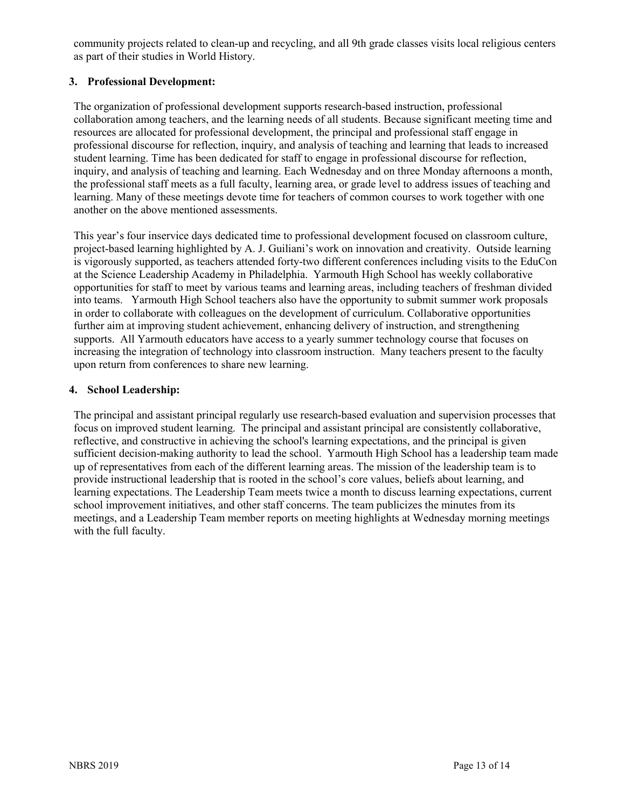community projects related to clean-up and recycling, and all 9th grade classes visits local religious centers as part of their studies in World History.

# **3. Professional Development:**

The organization of professional development supports research-based instruction, professional collaboration among teachers, and the learning needs of all students. Because significant meeting time and resources are allocated for professional development, the principal and professional staff engage in professional discourse for reflection, inquiry, and analysis of teaching and learning that leads to increased student learning. Time has been dedicated for staff to engage in professional discourse for reflection, inquiry, and analysis of teaching and learning. Each Wednesday and on three Monday afternoons a month, the professional staff meets as a full faculty, learning area, or grade level to address issues of teaching and learning. Many of these meetings devote time for teachers of common courses to work together with one another on the above mentioned assessments.

This year's four inservice days dedicated time to professional development focused on classroom culture, project-based learning highlighted by A. J. Guiliani's work on innovation and creativity. Outside learning is vigorously supported, as teachers attended forty-two different conferences including visits to the EduCon at the Science Leadership Academy in Philadelphia. Yarmouth High School has weekly collaborative opportunities for staff to meet by various teams and learning areas, including teachers of freshman divided into teams. Yarmouth High School teachers also have the opportunity to submit summer work proposals in order to collaborate with colleagues on the development of curriculum. Collaborative opportunities further aim at improving student achievement, enhancing delivery of instruction, and strengthening supports. All Yarmouth educators have access to a yearly summer technology course that focuses on increasing the integration of technology into classroom instruction. Many teachers present to the faculty upon return from conferences to share new learning.

# **4. School Leadership:**

The principal and assistant principal regularly use research-based evaluation and supervision processes that focus on improved student learning. The principal and assistant principal are consistently collaborative, reflective, and constructive in achieving the school's learning expectations, and the principal is given sufficient decision-making authority to lead the school. Yarmouth High School has a leadership team made up of representatives from each of the different learning areas. The mission of the leadership team is to provide instructional leadership that is rooted in the school's core values, beliefs about learning, and learning expectations. The Leadership Team meets twice a month to discuss learning expectations, current school improvement initiatives, and other staff concerns. The team publicizes the minutes from its meetings, and a Leadership Team member reports on meeting highlights at Wednesday morning meetings with the full faculty.